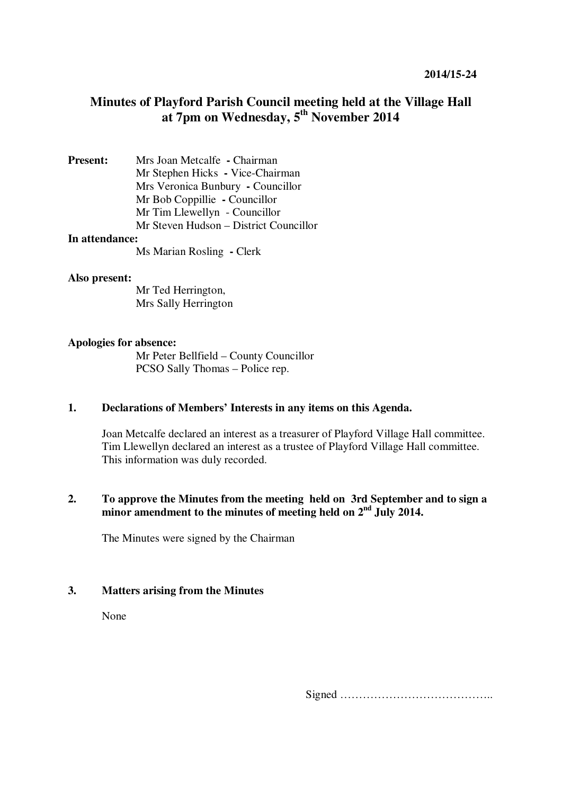# **Minutes of Playford Parish Council meeting held at the Village Hall at 7pm on Wednesday, 5th November 2014**

**Present:** Mrs Joan Metcalfe **-** Chairman Mr Stephen Hicks **-** Vice-Chairman Mrs Veronica Bunbury **-** Councillor Mr Bob Coppillie **-** Councillor Mr Tim Llewellyn - Councillor Mr Steven Hudson – District Councillor **In attendance:** 

Ms Marian Rosling **-** Clerk

#### **Also present:**

Mr Ted Herrington, Mrs Sally Herrington

#### **Apologies for absence:**

Mr Peter Bellfield – County Councillor PCSO Sally Thomas – Police rep.

#### **1. Declarations of Members' Interests in any items on this Agenda.**

Joan Metcalfe declared an interest as a treasurer of Playford Village Hall committee. Tim Llewellyn declared an interest as a trustee of Playford Village Hall committee. This information was duly recorded.

# **2. To approve the Minutes from the meeting held on 3rd September and to sign a**  minor amendment to the minutes of meeting held on 2<sup>nd</sup> July 2014.

The Minutes were signed by the Chairman

#### **3. Matters arising from the Minutes**

None

Signed …………………………………..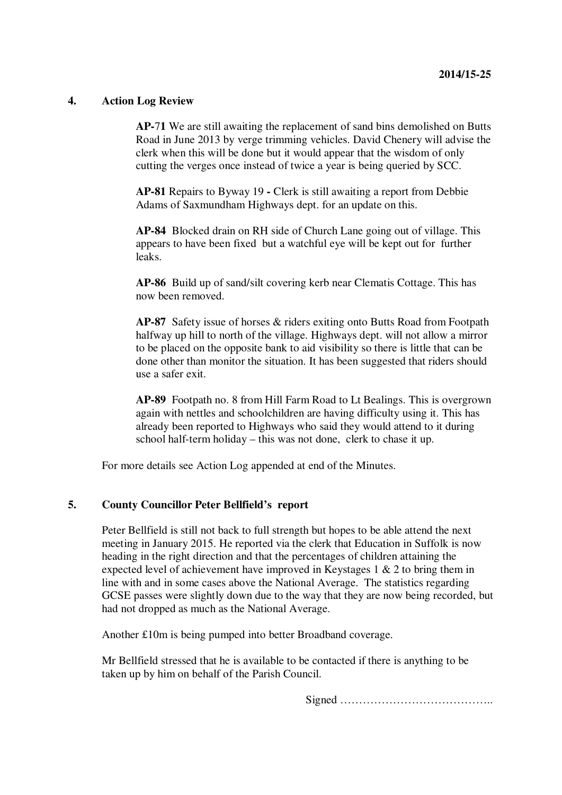#### **4. Action Log Review**

**AP-**7**1** We are still awaiting the replacement of sand bins demolished on Butts Road in June 2013 by verge trimming vehicles. David Chenery will advise the clerk when this will be done but it would appear that the wisdom of only cutting the verges once instead of twice a year is being queried by SCC.

**AP-81** Repairs to Byway 19 **-** Clerk is still awaiting a report from Debbie Adams of Saxmundham Highways dept. for an update on this.

**AP-84** Blocked drain on RH side of Church Lane going out of village. This appears to have been fixed but a watchful eye will be kept out for further leaks.

**AP-86** Build up of sand/silt covering kerb near Clematis Cottage. This has now been removed.

**AP-87** Safety issue of horses & riders exiting onto Butts Road from Footpath halfway up hill to north of the village. Highways dept. will not allow a mirror to be placed on the opposite bank to aid visibility so there is little that can be done other than monitor the situation. It has been suggested that riders should use a safer exit.

**AP-89** Footpath no. 8 from Hill Farm Road to Lt Bealings. This is overgrown again with nettles and schoolchildren are having difficulty using it. This has already been reported to Highways who said they would attend to it during school half-term holiday – this was not done, clerk to chase it up.

For more details see Action Log appended at end of the Minutes.

#### **5. County Councillor Peter Bellfield's report**

Peter Bellfield is still not back to full strength but hopes to be able attend the next meeting in January 2015. He reported via the clerk that Education in Suffolk is now heading in the right direction and that the percentages of children attaining the expected level of achievement have improved in Keystages 1 & 2 to bring them in line with and in some cases above the National Average. The statistics regarding GCSE passes were slightly down due to the way that they are now being recorded, but had not dropped as much as the National Average.

Another £10m is being pumped into better Broadband coverage.

Mr Bellfield stressed that he is available to be contacted if there is anything to be taken up by him on behalf of the Parish Council.

Signed …………………………………..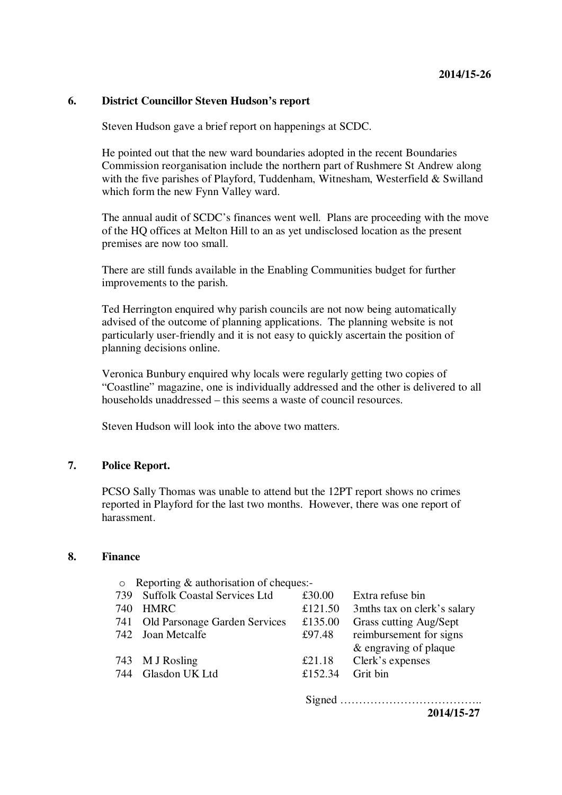#### **6. District Councillor Steven Hudson's report**

Steven Hudson gave a brief report on happenings at SCDC.

He pointed out that the new ward boundaries adopted in the recent Boundaries Commission reorganisation include the northern part of Rushmere St Andrew along with the five parishes of Playford, Tuddenham, Witnesham, Westerfield & Swilland which form the new Fynn Valley ward.

The annual audit of SCDC's finances went well. Plans are proceeding with the move of the HQ offices at Melton Hill to an as yet undisclosed location as the present premises are now too small.

There are still funds available in the Enabling Communities budget for further improvements to the parish.

Ted Herrington enquired why parish councils are not now being automatically advised of the outcome of planning applications. The planning website is not particularly user-friendly and it is not easy to quickly ascertain the position of planning decisions online.

Veronica Bunbury enquired why locals were regularly getting two copies of "Coastline" magazine, one is individually addressed and the other is delivered to all households unaddressed – this seems a waste of council resources.

Steven Hudson will look into the above two matters.

#### **7. Police Report.**

PCSO Sally Thomas was unable to attend but the 12PT report shows no crimes reported in Playford for the last two months. However, there was one report of harassment.

#### **8. Finance**

| $\circ$ | Reporting & authorisation of cheques:- |         |                              |
|---------|----------------------------------------|---------|------------------------------|
| 739     | <b>Suffolk Coastal Services Ltd</b>    | £30.00  | Extra refuse bin             |
| 740     | <b>HMRC</b>                            | £121.50 | 3 mths tax on clerk's salary |
|         | 741 Old Parsonage Garden Services      | £135.00 | Grass cutting Aug/Sept       |
|         | 742 Joan Metcalfe                      | £97.48  | reimbursement for signs      |
|         |                                        |         | & engraving of plaque        |
|         | 743 M J Rosling                        | £21.18  | Clerk's expenses             |
|         | 744 Glasdon UK Ltd                     | £152.34 | Grit bin                     |
|         |                                        |         |                              |
|         |                                        |         |                              |

**2014/15-27**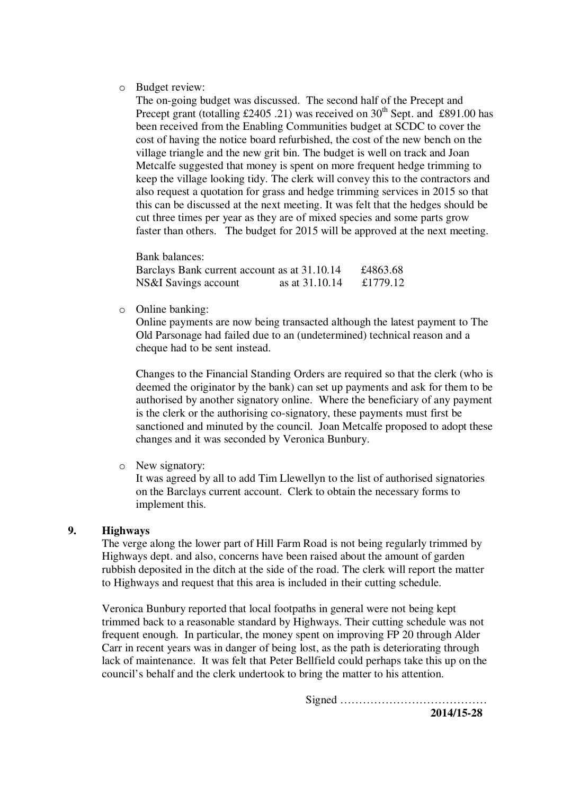o Budget review:

The on-going budget was discussed. The second half of the Precept and Precept grant (totalling £2405 .21) was received on  $30<sup>th</sup>$  Sept. and £891.00 has been received from the Enabling Communities budget at SCDC to cover the cost of having the notice board refurbished, the cost of the new bench on the village triangle and the new grit bin. The budget is well on track and Joan Metcalfe suggested that money is spent on more frequent hedge trimming to keep the village looking tidy. The clerk will convey this to the contractors and also request a quotation for grass and hedge trimming services in 2015 so that this can be discussed at the next meeting. It was felt that the hedges should be cut three times per year as they are of mixed species and some parts grow faster than others. The budget for 2015 will be approved at the next meeting.

Bank balances:

| Barclays Bank current account as at 31.10.14 |                | £4863.68 |
|----------------------------------------------|----------------|----------|
| NS&I Savings account                         | as at 31.10.14 | £1779.12 |

o Online banking:

Online payments are now being transacted although the latest payment to The Old Parsonage had failed due to an (undetermined) technical reason and a cheque had to be sent instead.

Changes to the Financial Standing Orders are required so that the clerk (who is deemed the originator by the bank) can set up payments and ask for them to be authorised by another signatory online. Where the beneficiary of any payment is the clerk or the authorising co-signatory, these payments must first be sanctioned and minuted by the council. Joan Metcalfe proposed to adopt these changes and it was seconded by Veronica Bunbury.

o New signatory:

It was agreed by all to add Tim Llewellyn to the list of authorised signatories on the Barclays current account. Clerk to obtain the necessary forms to implement this.

#### **9. Highways**

The verge along the lower part of Hill Farm Road is not being regularly trimmed by Highways dept. and also, concerns have been raised about the amount of garden rubbish deposited in the ditch at the side of the road. The clerk will report the matter to Highways and request that this area is included in their cutting schedule.

Veronica Bunbury reported that local footpaths in general were not being kept trimmed back to a reasonable standard by Highways. Their cutting schedule was not frequent enough. In particular, the money spent on improving FP 20 through Alder Carr in recent years was in danger of being lost, as the path is deteriorating through lack of maintenance. It was felt that Peter Bellfield could perhaps take this up on the council's behalf and the clerk undertook to bring the matter to his attention.

Signed …………………………………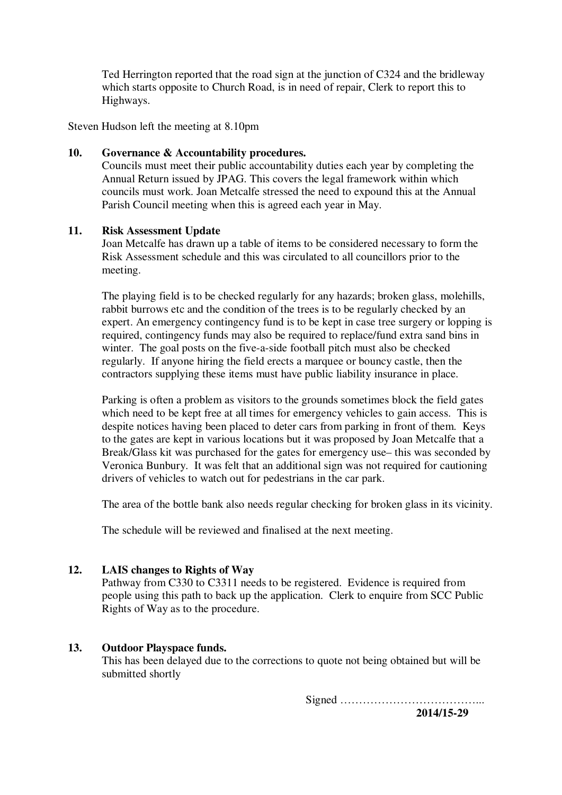Ted Herrington reported that the road sign at the junction of C324 and the bridleway which starts opposite to Church Road, is in need of repair, Clerk to report this to Highways.

Steven Hudson left the meeting at 8.10pm

#### **10. Governance & Accountability procedures.**

Councils must meet their public accountability duties each year by completing the Annual Return issued by JPAG. This covers the legal framework within which councils must work. Joan Metcalfe stressed the need to expound this at the Annual Parish Council meeting when this is agreed each year in May.

#### **11. Risk Assessment Update**

Joan Metcalfe has drawn up a table of items to be considered necessary to form the Risk Assessment schedule and this was circulated to all councillors prior to the meeting.

The playing field is to be checked regularly for any hazards; broken glass, molehills, rabbit burrows etc and the condition of the trees is to be regularly checked by an expert. An emergency contingency fund is to be kept in case tree surgery or lopping is required, contingency funds may also be required to replace/fund extra sand bins in winter. The goal posts on the five-a-side football pitch must also be checked regularly. If anyone hiring the field erects a marquee or bouncy castle, then the contractors supplying these items must have public liability insurance in place.

Parking is often a problem as visitors to the grounds sometimes block the field gates which need to be kept free at all times for emergency vehicles to gain access. This is despite notices having been placed to deter cars from parking in front of them. Keys to the gates are kept in various locations but it was proposed by Joan Metcalfe that a Break/Glass kit was purchased for the gates for emergency use– this was seconded by Veronica Bunbury. It was felt that an additional sign was not required for cautioning drivers of vehicles to watch out for pedestrians in the car park.

The area of the bottle bank also needs regular checking for broken glass in its vicinity.

The schedule will be reviewed and finalised at the next meeting.

# **12. LAIS changes to Rights of Way**

Pathway from C330 to C3311 needs to be registered. Evidence is required from people using this path to back up the application. Clerk to enquire from SCC Public Rights of Way as to the procedure.

# **13. Outdoor Playspace funds.**

This has been delayed due to the corrections to quote not being obtained but will be submitted shortly

Signed ………………………………...

 **2014/15-29**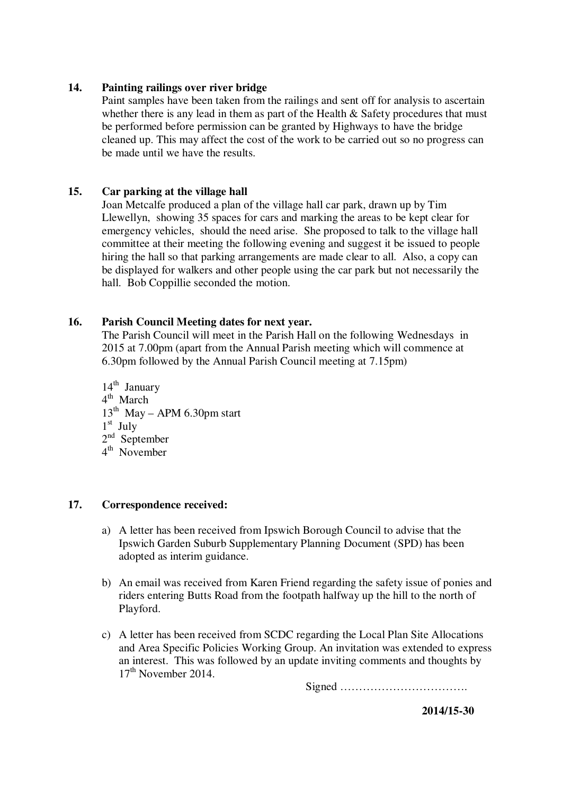#### **14. Painting railings over river bridge**

Paint samples have been taken from the railings and sent off for analysis to ascertain whether there is any lead in them as part of the Health & Safety procedures that must be performed before permission can be granted by Highways to have the bridge cleaned up. This may affect the cost of the work to be carried out so no progress can be made until we have the results.

# **15. Car parking at the village hall**

Joan Metcalfe produced a plan of the village hall car park, drawn up by Tim Llewellyn, showing 35 spaces for cars and marking the areas to be kept clear for emergency vehicles, should the need arise. She proposed to talk to the village hall committee at their meeting the following evening and suggest it be issued to people hiring the hall so that parking arrangements are made clear to all. Also, a copy can be displayed for walkers and other people using the car park but not necessarily the hall. Bob Coppillie seconded the motion.

#### **16. Parish Council Meeting dates for next year.**

The Parish Council will meet in the Parish Hall on the following Wednesdays in 2015 at 7.00pm (apart from the Annual Parish meeting which will commence at 6.30pm followed by the Annual Parish Council meeting at 7.15pm)

 $14<sup>th</sup>$  January 4<sup>th</sup> March  $13<sup>th</sup>$  May – APM 6.30pm start 1 st July 2<sup>nd</sup> September 4 th November

#### **17. Correspondence received:**

- a) A letter has been received from Ipswich Borough Council to advise that the Ipswich Garden Suburb Supplementary Planning Document (SPD) has been adopted as interim guidance.
- b) An email was received from Karen Friend regarding the safety issue of ponies and riders entering Butts Road from the footpath halfway up the hill to the north of Playford.
- c) A letter has been received from SCDC regarding the Local Plan Site Allocations and Area Specific Policies Working Group. An invitation was extended to express an interest. This was followed by an update inviting comments and thoughts by  $17<sup>th</sup>$  November 2014.

Signed …………………………….

 **2014/15-30**